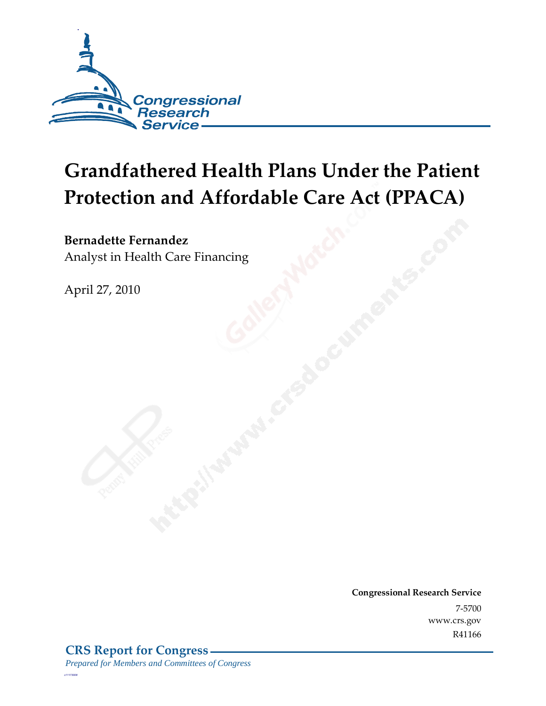

# **Grandfathered Health Plans Under the Patient Protection and Affordable Care Act (PPACA)**

#### **Bernadette Fernandez**

Analyst in Health Care Financing

April 27, 2010

**Congressional Research Service** 7-5700 www.crs.gov R41166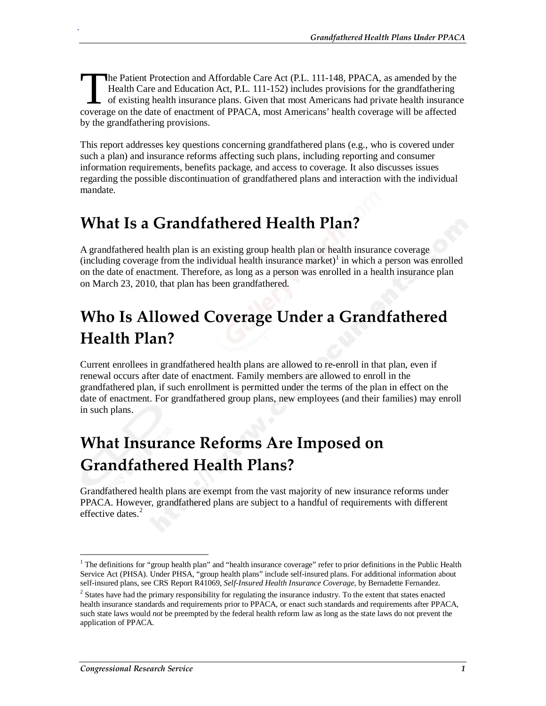he Patient Protection and Affordable Care Act (P.L. 111-148, PPACA, as amended by the Health Care and Education Act, P.L. 111-152) includes provisions for the grandfathering of existing health insurance plans. Given that most Americans had private health insurance The Patient Protection and Affordable Care Act (P.L. 111-148, PPACA, as amended by the Health Care and Education Act, P.L. 111-152) includes provisions for the grandfathering of existing health insurance plans. Given that by the grandfathering provisions.

This report addresses key questions concerning grandfathered plans (e.g., who is covered under such a plan) and insurance reforms affecting such plans, including reporting and consumer information requirements, benefits package, and access to coverage. It also discusses issues regarding the possible discontinuation of grandfathered plans and interaction with the individual mandate.

#### **What Is a Grandfathered Health Plan?**

A grandfathered health plan is an existing group health plan or health insurance coverage  $(including coverage from the individual health insurance market)<sup>1</sup> in which a person was enrolled$ on the date of enactment. Therefore, as long as a person was enrolled in a health insurance plan on March 23, 2010, that plan has been grandfathered.

### **Who Is Allowed Coverage Under a Grandfathered Health Plan?**

Current enrollees in grandfathered health plans are allowed to re-enroll in that plan, even if renewal occurs after date of enactment. Family members are allowed to enroll in the grandfathered plan, if such enrollment is permitted under the terms of the plan in effect on the date of enactment. For grandfathered group plans, new employees (and their families) may enroll in such plans.

### **What Insurance Reforms Are Imposed on Grandfathered Health Plans?**

Grandfathered health plans are exempt from the vast majority of new insurance reforms under PPACA. However, grandfathered plans are subject to a handful of requirements with different effective dates.<sup>2</sup>

<u>.</u>

.

<sup>&</sup>lt;sup>1</sup> The definitions for "group health plan" and "health insurance coverage" refer to prior definitions in the Public Health Service Act (PHSA). Under PHSA, "group health plans" include self-insured plans. For additional information about self-insured plans, see CRS Report R41069, *Self-Insured Health Insurance Coverage*, by Bernadette Fernandez.

 $2^2$  States have had the primary responsibility for regulating the insurance industry. To the extent that states enacted health insurance standards and requirements prior to PPACA, or enact such standards and requirements after PPACA, such state laws would *not* be preempted by the federal health reform law as long as the state laws do not prevent the application of PPACA.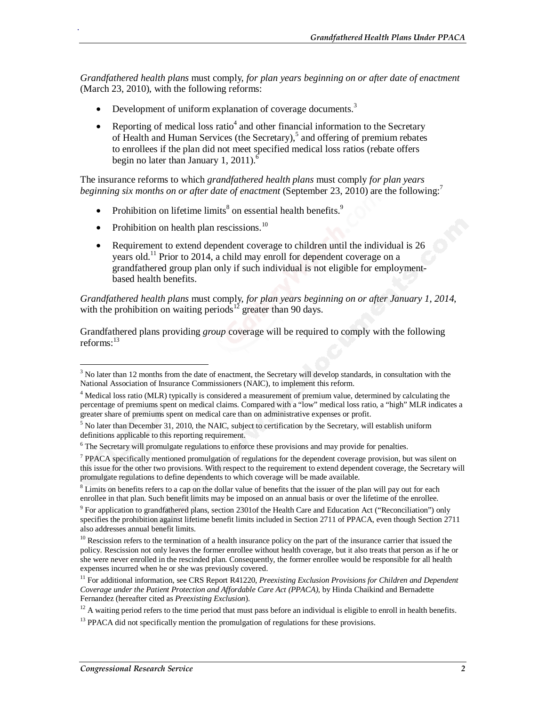*Grandfathered health plans* must comply, *for plan years beginning on or after date of enactment*  (March 23, 2010), with the following reforms:

- Development of uniform explanation of coverage documents.<sup>3</sup>
- Reporting of medical loss ratio<sup>4</sup> and other financial information to the Secretary of Health and Human Services (the Secretary),<sup>5</sup> and offering of premium rebates to enrollees if the plan did not meet specified medical loss ratios (rebate offers begin no later than January 1, 2011).<sup>6</sup>

The insurance reforms to which *grandfathered health plans* must comply *for plan years beginning six months on or after date of enactment* (September 23, 2010) are the following:<sup>7</sup>

- Prohibition on lifetime limits<sup>8</sup> on essential health benefits.<sup>9</sup>
- Prohibition on health plan rescissions.<sup>10</sup>

.

• Requirement to extend dependent coverage to children until the individual is 26 years old.11 Prior to 2014, a child may enroll for dependent coverage on a grandfathered group plan only if such individual is not eligible for employmentbased health benefits.

*Grandfathered health plans* must comply, *for plan years beginning on or after January 1, 2014*, with the prohibition on waiting periods<sup>12</sup> greater than 90 days.

Grandfathered plans providing *group* coverage will be required to comply with the following reforms: $^{13}$ 

<sup>&</sup>lt;sup>3</sup> No later than 12 months from the date of enactment, the Secretary will develop standards, in consultation with the National Association of Insurance Commissioners (NAIC), to implement this reform.

<sup>&</sup>lt;sup>4</sup> Medical loss ratio (MLR) typically is considered a measurement of premium value, determined by calculating the percentage of premiums spent on medical claims. Compared with a "low" medical loss ratio, a "high" MLR indicates a greater share of premiums spent on medical care than on administrative expenses or profit.

 $<sup>5</sup>$  No later than December 31, 2010, the NAIC, subject to certification by the Secretary, will establish uniform</sup> definitions applicable to this reporting requirement.

<sup>&</sup>lt;sup>6</sup> The Secretary will promulgate regulations to enforce these provisions and may provide for penalties.

<sup>&</sup>lt;sup>7</sup> PPACA specifically mentioned promulgation of regulations for the dependent coverage provision, but was silent on this issue for the other two provisions. With respect to the requirement to extend dependent coverage, the Secretary will promulgate regulations to define dependents to which coverage will be made available.

 $8$  Limits on benefits refers to a cap on the dollar value of benefits that the issuer of the plan will pay out for each enrollee in that plan. Such benefit limits may be imposed on an annual basis or over the lifetime of the enrollee.

<sup>&</sup>lt;sup>9</sup> For application to grandfathered plans, section 2301of the Health Care and Education Act ("Reconciliation") only specifies the prohibition against lifetime benefit limits included in Section 2711 of PPACA, even though Section 2711 also addresses annual benefit limits.

 $10$  Rescission refers to the termination of a health insurance policy on the part of the insurance carrier that issued the policy. Rescission not only leaves the former enrollee without health coverage, but it also treats that person as if he or she were never enrolled in the rescinded plan. Consequently, the former enrollee would be responsible for all health expenses incurred when he or she was previously covered.

<sup>&</sup>lt;sup>11</sup> For additional information, see CRS Report R41220, *Preexisting Exclusion Provisions for Children and Dependent Coverage under the Patient Protection and Affordable Care Act (PPACA)*, by Hinda Chaikind and Bernadette

<sup>&</sup>lt;sup>12</sup> A waiting period refers to the time period that must pass before an individual is eligible to enroll in health benefits.

<sup>&</sup>lt;sup>13</sup> PPACA did not specifically mention the promulgation of regulations for these provisions.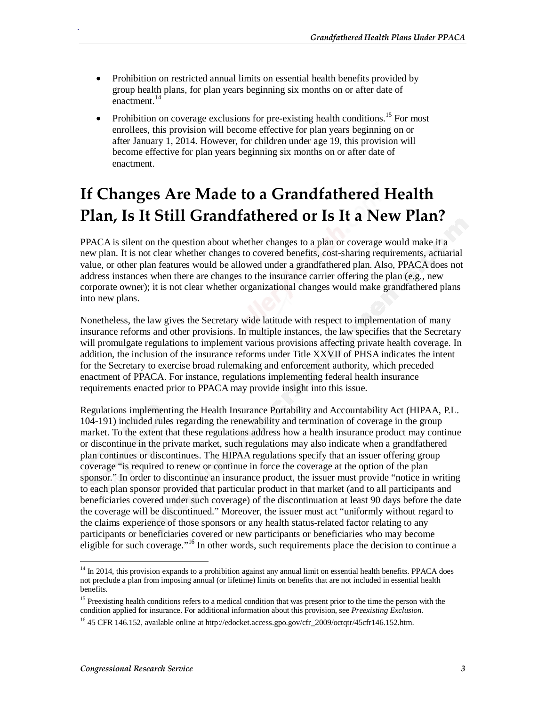- Prohibition on restricted annual limits on essential health benefits provided by group health plans, for plan years beginning six months on or after date of enactment.<sup>14</sup>
- Prohibition on coverage exclusions for pre-existing health conditions.<sup>15</sup> For most enrollees, this provision will become effective for plan years beginning on or after January 1, 2014. However, for children under age 19, this provision will become effective for plan years beginning six months on or after date of enactment.

## **If Changes Are Made to a Grandfathered Health Plan, Is It Still Grandfathered or Is It a New Plan?**

PPACA is silent on the question about whether changes to a plan or coverage would make it a new plan. It is not clear whether changes to covered benefits, cost-sharing requirements, actuarial value, or other plan features would be allowed under a grandfathered plan. Also, PPACA does not address instances when there are changes to the insurance carrier offering the plan (e.g., new corporate owner); it is not clear whether organizational changes would make grandfathered plans into new plans.

Nonetheless, the law gives the Secretary wide latitude with respect to implementation of many insurance reforms and other provisions. In multiple instances, the law specifies that the Secretary will promulgate regulations to implement various provisions affecting private health coverage. In addition, the inclusion of the insurance reforms under Title XXVII of PHSA indicates the intent for the Secretary to exercise broad rulemaking and enforcement authority, which preceded enactment of PPACA. For instance, regulations implementing federal health insurance requirements enacted prior to PPACA may provide insight into this issue.

Regulations implementing the Health Insurance Portability and Accountability Act (HIPAA, P.L. 104-191) included rules regarding the renewability and termination of coverage in the group market. To the extent that these regulations address how a health insurance product may continue or discontinue in the private market, such regulations may also indicate when a grandfathered plan continues or discontinues. The HIPAA regulations specify that an issuer offering group coverage "is required to renew or continue in force the coverage at the option of the plan sponsor." In order to discontinue an insurance product, the issuer must provide "notice in writing to each plan sponsor provided that particular product in that market (and to all participants and beneficiaries covered under such coverage) of the discontinuation at least 90 days before the date the coverage will be discontinued." Moreover, the issuer must act "uniformly without regard to the claims experience of those sponsors or any health status-related factor relating to any participants or beneficiaries covered or new participants or beneficiaries who may become eligible for such coverage."<sup>16</sup> In other words, such requirements place the decision to continue a

.

<sup>-</sup><sup>14</sup> In 2014, this provision expands to a prohibition against any annual limit on essential health benefits. PPACA does not preclude a plan from imposing annual (or lifetime) limits on benefits that are not included in essential health benefits.

<sup>&</sup>lt;sup>15</sup> Preexisting health conditions refers to a medical condition that was present prior to the time the person with the condition applied for insurance. For additional information about this provision, see *Preexisting Exclusion.*

<sup>&</sup>lt;sup>16</sup> 45 CFR 146.152, available online at http://edocket.access.gpo.gov/cfr\_2009/octqtr/45cfr146.152.htm.